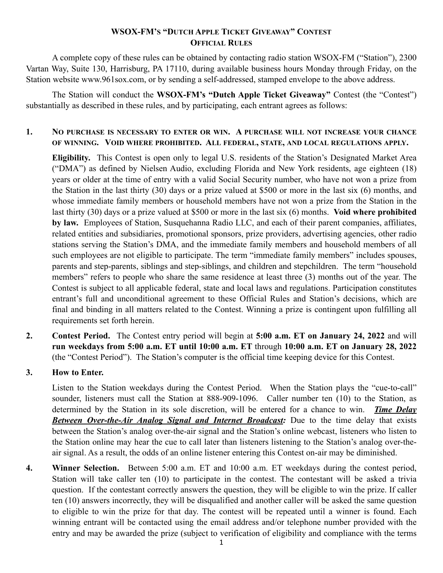### **WSOX-FM'S "DUTCH APPLE TICKET GIVEAWAY" CONTEST OFFICIAL RULES**

A complete copy of these rules can be obtained by contacting radio station WSOX-FM ("Station"), 2300 Vartan Way, Suite 130, Harrisburg, PA 17110, during available business hours Monday through Friday, on the Station website www.961sox.com, or by sending a self-addressed, stamped envelope to the above address.

The Station will conduct the **WSOX-FM's "Dutch Apple Ticket Giveaway"** Contest (the "Contest") substantially as described in these rules, and by participating, each entrant agrees as follows:

#### **1. NO PURCHASE IS NECESSARY TO ENTER OR WIN. A PURCHASE WILL NOT INCREASE YOUR CHANCE OF WINNING. VOID WHERE PROHIBITED. ALL FEDERAL, STATE, AND LOCAL REGULATIONS APPLY.**

**Eligibility.** This Contest is open only to legal U.S. residents of the Station's Designated Market Area ("DMA") as defined by Nielsen Audio, excluding Florida and New York residents, age eighteen (18) years or older at the time of entry with a valid Social Security number, who have not won a prize from the Station in the last thirty (30) days or a prize valued at \$500 or more in the last six (6) months, and whose immediate family members or household members have not won a prize from the Station in the last thirty (30) days or a prize valued at \$500 or more in the last six (6) months. **Void where prohibited by law.** Employees of Station, Susquehanna Radio LLC, and each of their parent companies, affiliates, related entities and subsidiaries, promotional sponsors, prize providers, advertising agencies, other radio stations serving the Station's DMA, and the immediate family members and household members of all such employees are not eligible to participate. The term "immediate family members" includes spouses, parents and step-parents, siblings and step-siblings, and children and stepchildren. The term "household members" refers to people who share the same residence at least three (3) months out of the year. The Contest is subject to all applicable federal, state and local laws and regulations. Participation constitutes entrant's full and unconditional agreement to these Official Rules and Station's decisions, which are final and binding in all matters related to the Contest. Winning a prize is contingent upon fulfilling all requirements set forth herein.

**2. Contest Period.** The Contest entry period will begin at **5:00 a.m. ET on January 24, 2022** and will **run weekdays from 5:00 a.m. ET until 10:00 a.m. ET** through **10:00 a.m. ET on January 28, 2022**  (the "Contest Period"). The Station's computer is the official time keeping device for this Contest.

#### **3. How to Enter.**

Listen to the Station weekdays during the Contest Period. When the Station plays the "cue-to-call" sounder, listeners must call the Station at 888-909-1096. Caller number ten (10) to the Station, as determined by the Station in its sole discretion, will be entered for a chance to win. *Time Delay Between Over-the-Air Analog Signal and Internet Broadcast:* Due to the time delay that exists between the Station's analog over-the-air signal and the Station's online webcast, listeners who listen to the Station online may hear the cue to call later than listeners listening to the Station's analog over-theair signal. As a result, the odds of an online listener entering this Contest on-air may be diminished.

**4. Winner Selection.** Between 5:00 a.m. ET and 10:00 a.m. ET weekdays during the contest period, Station will take caller ten (10) to participate in the contest. The contestant will be asked a trivia question. If the contestant correctly answers the question, they will be eligible to win the prize. If caller ten (10) answers incorrectly, they will be disqualified and another caller will be asked the same question to eligible to win the prize for that day. The contest will be repeated until a winner is found. Each winning entrant will be contacted using the email address and/or telephone number provided with the entry and may be awarded the prize (subject to verification of eligibility and compliance with the terms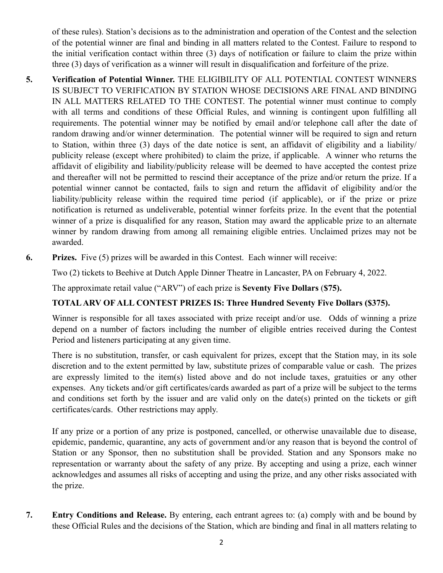of these rules). Station's decisions as to the administration and operation of the Contest and the selection of the potential winner are final and binding in all matters related to the Contest. Failure to respond to the initial verification contact within three (3) days of notification or failure to claim the prize within three (3) days of verification as a winner will result in disqualification and forfeiture of the prize.

- **5. Verification of Potential Winner.** THE ELIGIBILITY OF ALL POTENTIAL CONTEST WINNERS IS SUBJECT TO VERIFICATION BY STATION WHOSE DECISIONS ARE FINAL AND BINDING IN ALL MATTERS RELATED TO THE CONTEST. The potential winner must continue to comply with all terms and conditions of these Official Rules, and winning is contingent upon fulfilling all requirements. The potential winner may be notified by email and/or telephone call after the date of random drawing and/or winner determination. The potential winner will be required to sign and return to Station, within three (3) days of the date notice is sent, an affidavit of eligibility and a liability/ publicity release (except where prohibited) to claim the prize, if applicable. A winner who returns the affidavit of eligibility and liability/publicity release will be deemed to have accepted the contest prize and thereafter will not be permitted to rescind their acceptance of the prize and/or return the prize. If a potential winner cannot be contacted, fails to sign and return the affidavit of eligibility and/or the liability/publicity release within the required time period (if applicable), or if the prize or prize notification is returned as undeliverable, potential winner forfeits prize. In the event that the potential winner of a prize is disqualified for any reason, Station may award the applicable prize to an alternate winner by random drawing from among all remaining eligible entries. Unclaimed prizes may not be awarded.
- **6. Prizes.** Five (5) prizes will be awarded in this Contest. Each winner will receive:

Two (2) tickets to Beehive at Dutch Apple Dinner Theatre in Lancaster, PA on February 4, 2022.

The approximate retail value ("ARV") of each prize is **Seventy Five Dollars** (**\$75).** 

## **TOTAL ARV OF ALL CONTEST PRIZES IS: Three Hundred Seventy Five Dollars (\$375).**

Winner is responsible for all taxes associated with prize receipt and/or use. Odds of winning a prize depend on a number of factors including the number of eligible entries received during the Contest Period and listeners participating at any given time.

There is no substitution, transfer, or cash equivalent for prizes, except that the Station may, in its sole discretion and to the extent permitted by law, substitute prizes of comparable value or cash. The prizes are expressly limited to the item(s) listed above and do not include taxes, gratuities or any other expenses. Any tickets and/or gift certificates/cards awarded as part of a prize will be subject to the terms and conditions set forth by the issuer and are valid only on the date(s) printed on the tickets or gift certificates/cards. Other restrictions may apply.

If any prize or a portion of any prize is postponed, cancelled, or otherwise unavailable due to disease, epidemic, pandemic, quarantine, any acts of government and/or any reason that is beyond the control of Station or any Sponsor, then no substitution shall be provided. Station and any Sponsors make no representation or warranty about the safety of any prize. By accepting and using a prize, each winner acknowledges and assumes all risks of accepting and using the prize, and any other risks associated with the prize.

**7. Entry Conditions and Release.** By entering, each entrant agrees to: (a) comply with and be bound by these Official Rules and the decisions of the Station, which are binding and final in all matters relating to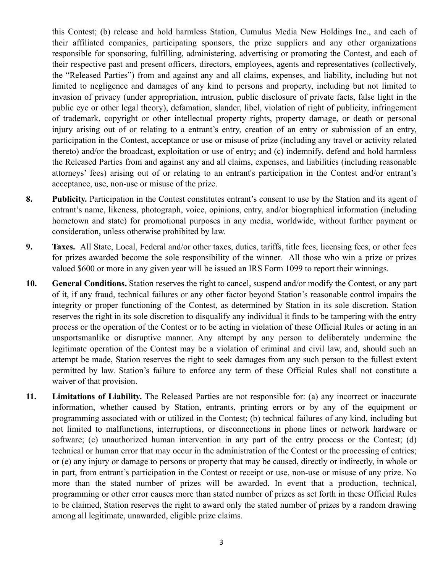this Contest; (b) release and hold harmless Station, Cumulus Media New Holdings Inc., and each of their affiliated companies, participating sponsors, the prize suppliers and any other organizations responsible for sponsoring, fulfilling, administering, advertising or promoting the Contest, and each of their respective past and present officers, directors, employees, agents and representatives (collectively, the "Released Parties") from and against any and all claims, expenses, and liability, including but not limited to negligence and damages of any kind to persons and property, including but not limited to invasion of privacy (under appropriation, intrusion, public disclosure of private facts, false light in the public eye or other legal theory), defamation, slander, libel, violation of right of publicity, infringement of trademark, copyright or other intellectual property rights, property damage, or death or personal injury arising out of or relating to a entrant's entry, creation of an entry or submission of an entry, participation in the Contest, acceptance or use or misuse of prize (including any travel or activity related thereto) and/or the broadcast, exploitation or use of entry; and (c) indemnify, defend and hold harmless the Released Parties from and against any and all claims, expenses, and liabilities (including reasonable attorneys' fees) arising out of or relating to an entrant's participation in the Contest and/or entrant's acceptance, use, non-use or misuse of the prize.

- **8. Publicity.** Participation in the Contest constitutes entrant's consent to use by the Station and its agent of entrant's name, likeness, photograph, voice, opinions, entry, and/or biographical information (including hometown and state) for promotional purposes in any media, worldwide, without further payment or consideration, unless otherwise prohibited by law.
- **9. Taxes.** All State, Local, Federal and/or other taxes, duties, tariffs, title fees, licensing fees, or other fees for prizes awarded become the sole responsibility of the winner. All those who win a prize or prizes valued \$600 or more in any given year will be issued an IRS Form 1099 to report their winnings.
- **10. General Conditions.** Station reserves the right to cancel, suspend and/or modify the Contest, or any part of it, if any fraud, technical failures or any other factor beyond Station's reasonable control impairs the integrity or proper functioning of the Contest, as determined by Station in its sole discretion. Station reserves the right in its sole discretion to disqualify any individual it finds to be tampering with the entry process or the operation of the Contest or to be acting in violation of these Official Rules or acting in an unsportsmanlike or disruptive manner. Any attempt by any person to deliberately undermine the legitimate operation of the Contest may be a violation of criminal and civil law, and, should such an attempt be made, Station reserves the right to seek damages from any such person to the fullest extent permitted by law. Station's failure to enforce any term of these Official Rules shall not constitute a waiver of that provision.
- **11. Limitations of Liability.** The Released Parties are not responsible for: (a) any incorrect or inaccurate information, whether caused by Station, entrants, printing errors or by any of the equipment or programming associated with or utilized in the Contest; (b) technical failures of any kind, including but not limited to malfunctions, interruptions, or disconnections in phone lines or network hardware or software; (c) unauthorized human intervention in any part of the entry process or the Contest; (d) technical or human error that may occur in the administration of the Contest or the processing of entries; or (e) any injury or damage to persons or property that may be caused, directly or indirectly, in whole or in part, from entrant's participation in the Contest or receipt or use, non-use or misuse of any prize. No more than the stated number of prizes will be awarded. In event that a production, technical, programming or other error causes more than stated number of prizes as set forth in these Official Rules to be claimed, Station reserves the right to award only the stated number of prizes by a random drawing among all legitimate, unawarded, eligible prize claims.